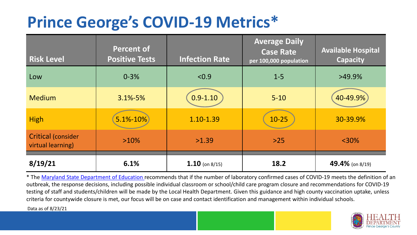## **Prince George's COVID-19 Metrics\***

| <b>Risk Level</b>                              | <b>Percent of</b><br><b>Positive Tests</b> | <b>Infection Rate</b> | <b>Average Daily</b><br><b>Case Rate</b><br>per 100,000 population | <b>Available Hospital</b><br><b>Capacity</b> |
|------------------------------------------------|--------------------------------------------|-----------------------|--------------------------------------------------------------------|----------------------------------------------|
| Low                                            | $0 - 3%$                                   | < 0.9                 | $1 - 5$                                                            | $>49.9\%$                                    |
| <b>Medium</b>                                  | $3.1\% - 5\%$                              | $0.9 - 1.10$          | $5 - 10$                                                           | 40-49.9%                                     |
| <b>High</b>                                    | $5.1% - 10%$                               | 1.10-1.39             | $10 - 25$                                                          | 30-39.9%                                     |
| <b>Critical (consider</b><br>virtual learning) | $>10\%$                                    | >1.39                 | $>25$                                                              | $<$ 30%                                      |
| 8/19/21                                        | 6.1%                                       | $1.10$ (on 8/15)      | 18.2                                                               | 49.4% (on 8/19)                              |

\* The [Maryland State Department of Education r](https://earlychildhood.marylandpublicschools.org/system/files/filedepot/3/covid_guidance_full_080420.pdf)ecommends that if the number of laboratory confirmed cases of COVID-19 meets the definition of an outbreak, the response decisions, including possible individual classroom or school/child care program closure and recommendations for COVID-19 testing of staff and students/children will be made by the Local Health Department. Given this guidance and high county vaccination uptake, unless criteria for countywide closure is met, our focus will be on case and contact identification and management within individual schools.

Data as of 8/23/21

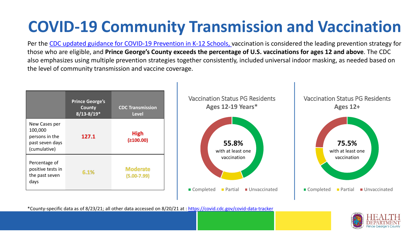# **COVID-19 Community Transmission and Vaccination**

Per the [CDC updated guidance for COVID-19 Prevention in K-12 Schools,](https://www.cdc.gov/coronavirus/2019-ncov/community/schools-childcare/k-12-guidance.html) vaccination is considered the leading prevention strategy for those who are eligible, and **Prince George's County exceeds the percentage of U.S. vaccinations for ages 12 and above**. The CDC also emphasizes using multiple prevention strategies together consistently, included universal indoor masking, as needed based on the level of community transmission and vaccine coverage.



\*County-specific data as of 8/23/21; all other data accessed on 8/20/21 at :<https://covid.cdc.gov/covid-data-tracker>

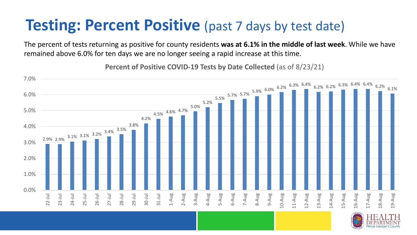#### **Testing: Percent Positive** (past 7 days by test date)

The percent of tests returning as positive for county residents **was at 6.1% in the middle of last week**. While we have remained above 6.0% for ten days we are no longer seeing a rapid increase at this time.

2.9% 2.9%  $3.1\%$  3.1% 3.2%  $3.4\%$   $3.5\%$ 3.8% 4.2% 4.5% 4.6% 4.7% 5.0% 5.2%  $5.5\%$  5.7% 5.7% 5.9% 6.0% 6.2% 6.3% 6.4% 6.2% 6.2% 6.3% 6.4% 6.4% 6.2% 6.1% 0.0% 1.0% 2.0% 3.0% 4.0% 5.0% 6.0% 7.0% 22-Jul 23-Jul 24-Jul 25-Jul 26-Jul 27-Jul 28-Jul 29-Jul 30-Jul 31-Jul 1-Aug 2-Aug 3-Aug 4-Aug 5-Aug 6-Aug 7-Aug 8-Aug 9-Aug 10-Aug 11-Aug 12-Aug 13-Aug 14-Aug 15-Aug 16-Aug 17-Aug 18-Aug 19-Aug

**Percent of Positive COVID-19 Tests by Date Collected** (as of 8/23/21)

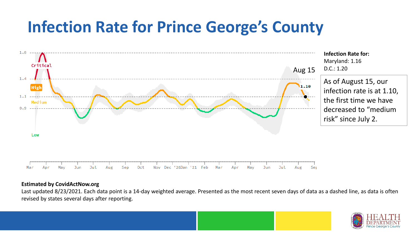## **Infection Rate for Prince George's County**



#### **Estimated by CovidActNow.org**

Last updated 8/23/2021. Each data point is a 14-day weighted average. Presented as the most recent seven days of data as a dashed line, as data is often revised by states several days after reporting.

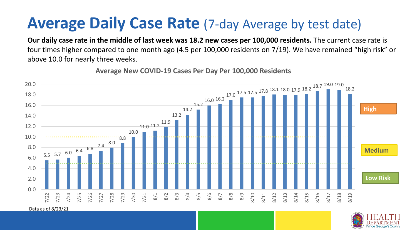### **Average Daily Case Rate** (7-day Average by test date)

**Our daily case rate in the middle of last week was 18.2 new cases per 100,000 residents.** The current case rate is four times higher compared to one month ago (4.5 per 100,000 residents on 7/19). We have remained "high risk" or above 10.0 for nearly three weeks.

 $5.5$  5.7 6.0 6.4 6.8 7.4 8.0 8.8 10.0 11.0 11.2 11.9 13.2 14.2 15.2 16.0 16.2 17.0 17.5 17.5 17.8 18.1 18.0 17.9 18.2 18.7 19.0 19.0 18.2 0.0 2.0 4.0 6.0 8.0 10.0 12.0 14.0 16.0 18.0 20.0 7/22 7/23 7/24 7/25 7/26 7/27 7/28 7/29 7/30 7/31 8/1 8/2 8/3 8/4 8/5 8/6 8/7 8/8 8/9 8/10 8/11 8/12 8/13 8/14 8/15 8/16 8/17 8/18 8/19 **Low Risk Medium High**

**Average New COVID-19 Cases Per Day Per 100,000 Residents**

Data as of 8/23/21